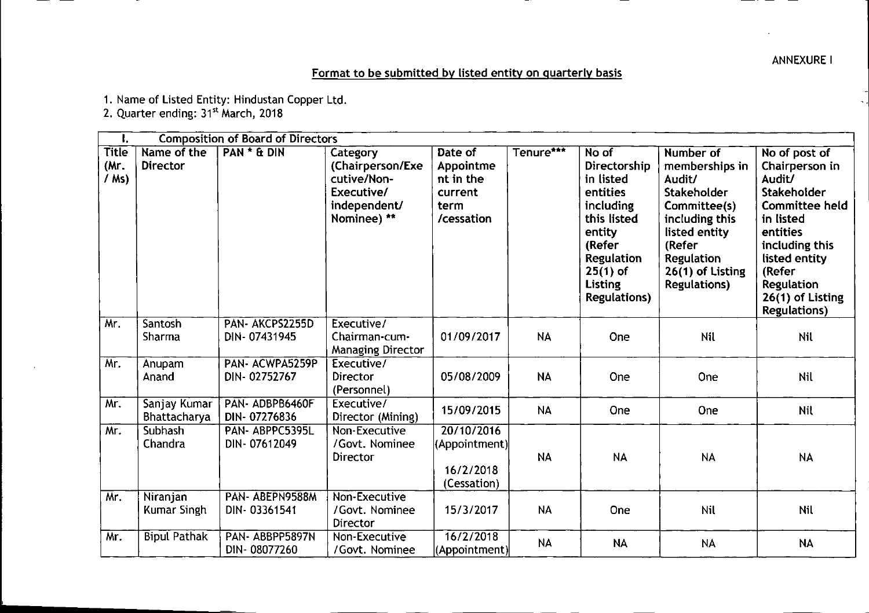ANNEXUREI

## Format to be submitted by listed entity on quarterly basis

1. Name of Listed Entity: Hindustan Copper Ltd.

2. Quarter ending: 31't March, 2018

| Ι.                              | <b>Composition of Board of Directors</b> |                                 |                                                                                          |                                                                    |           |                                                                                                                                                                                   |                                                                                                                                                                                    |                                                                                                                                                                                                                  |
|---------------------------------|------------------------------------------|---------------------------------|------------------------------------------------------------------------------------------|--------------------------------------------------------------------|-----------|-----------------------------------------------------------------------------------------------------------------------------------------------------------------------------------|------------------------------------------------------------------------------------------------------------------------------------------------------------------------------------|------------------------------------------------------------------------------------------------------------------------------------------------------------------------------------------------------------------|
| <b>Title</b><br>(Mr)<br>$/$ Ms) | Name of the<br><b>Director</b>           | PAN * & DIN                     | Category<br>(Chairperson/Exe<br>cutive/Non-<br>Executive/<br>independent/<br>Nominee) ** | Date of<br>Appointme<br>nt in the<br>current<br>term<br>/cessation | Tenure*** | No of<br>Directorship<br>in listed<br>entities<br><i>including</i><br>this listed<br>entity<br>(Refer<br><b>Regulation</b><br>$25(1)$ of<br><b>Listing</b><br><b>Regulations)</b> | Number of<br>memberships in<br>Audit/<br>Stakeholder<br>Committee(s)<br>including this<br>listed entity<br>(Refer<br><b>Regulation</b><br>26(1) of Listing<br><b>Regulations</b> ) | No of post of<br>Chairperson in<br>Audit/<br>Stakeholder<br><b>Committee held</b><br>in listed<br>entities<br>including this<br>listed entity<br>(Refer<br>Regulation<br>26(1) of Listing<br><b>Regulations)</b> |
| Mr.                             | Santosh<br>Sharma                        | PAN- AKCPS2255D<br>DIN-07431945 | Executive/<br>Chairman-cum-<br><b>Managing Director</b>                                  | 01/09/2017                                                         | <b>NA</b> | One                                                                                                                                                                               | Nil                                                                                                                                                                                | Nil                                                                                                                                                                                                              |
| Mr.                             | Anupam<br>Anand                          | PAN- ACWPA5259P<br>DIN-02752767 | Executive/<br>Director<br>(Personnel)                                                    | 05/08/2009                                                         | <b>NA</b> | One                                                                                                                                                                               | One                                                                                                                                                                                | Nil                                                                                                                                                                                                              |
| Mr.                             | Sanjay Kumar<br>Bhattacharya             | PAN-ADBPB6460F<br>DIN-07276836  | Executive/<br>Director (Mining)                                                          | 15/09/2015                                                         | <b>NA</b> | One                                                                                                                                                                               | One                                                                                                                                                                                | Nil                                                                                                                                                                                                              |
| Mr.                             | Subhash<br>Chandra                       | PAN-ABPPC5395L<br>DIN-07612049  | Non-Executive<br>/Govt. Nominee<br>Director                                              | 20/10/2016<br>(Appointment)<br>16/2/2018<br>(Cessation)            | <b>NA</b> | <b>NA</b>                                                                                                                                                                         | <b>NA</b>                                                                                                                                                                          | <b>NA</b>                                                                                                                                                                                                        |
| Mr.                             | Niranjan<br>Kumar Singh                  | PAN-ABEPN9588M<br>DIN-03361541  | Non-Executive<br>/Govt. Nominee<br>Director                                              | 15/3/2017                                                          | <b>NA</b> | One                                                                                                                                                                               | <b>Nil</b>                                                                                                                                                                         | Nil                                                                                                                                                                                                              |
| Mr.                             | <b>Bipul Pathak</b>                      | PAN-ABBPP5897N<br>DIN-08077260  | Non-Executive<br>/Govt. Nominee                                                          | 16/2/2018<br>(Appointment)                                         | <b>NA</b> | <b>NA</b>                                                                                                                                                                         | <b>NA</b>                                                                                                                                                                          | <b>NA</b>                                                                                                                                                                                                        |

- - -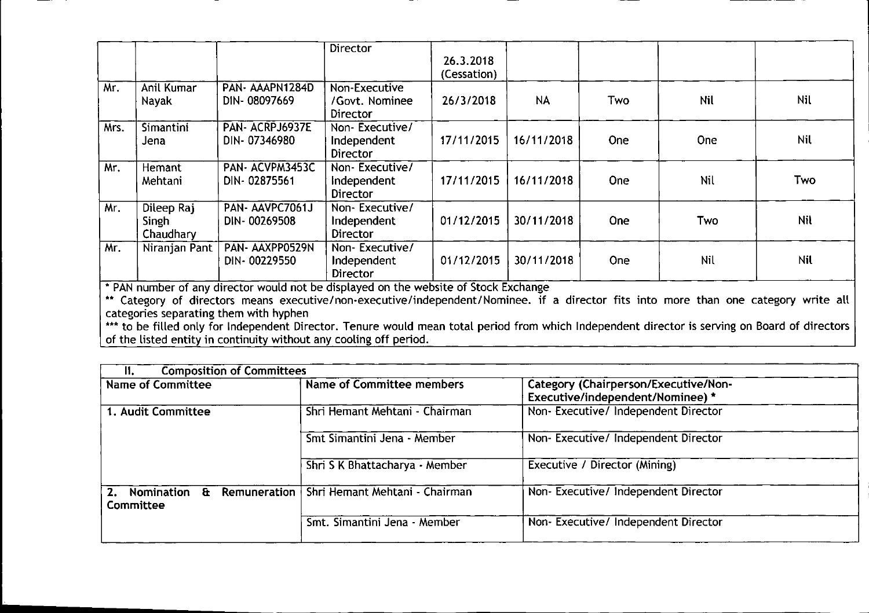|      |                                  |                                 | <b>Director</b>                                  | 26.3.2018<br>(Cessation) |            |            |            |            |
|------|----------------------------------|---------------------------------|--------------------------------------------------|--------------------------|------------|------------|------------|------------|
| Mr.  | Anil Kumar<br>Nayak              | PAN-AAAPN1284D<br>DIN-08097669  | Non-Executive<br>/Govt. Nominee<br>Director      | 26/3/2018                | <b>NA</b>  | <b>Two</b> | <b>Nil</b> | Nil        |
| Mrs. | <b>Simantini</b><br>Jena         | PAN-ACRPJ6937E<br>DIN-07346980  | Non-Executive/<br>Independent<br>Director        | 17/11/2015               | 16/11/2018 | One        | <b>One</b> | Nil        |
| Mr.  | Hemant<br>Mehtani                | PAN-ACVPM3453C<br>DIN-02875561  | Non-Executive/<br>Independent<br>Director        | 17/11/2015               | 16/11/2018 | <b>One</b> | Nil        | Two        |
| Mr.  | Dileep Raj<br>Singh<br>Chaudhary | PAN-AAVPC7061J<br>DIN-00269508  | Non-Executive/<br>Independent<br><b>Director</b> | 01/12/2015               | 30/11/2018 | <b>One</b> | Two        | <b>Nil</b> |
| Mr.  | Niranjan Pant                    | PAN- AAXPP0529N<br>DIN-00229550 | Non-Executive/<br>Independent<br><b>Director</b> | 01/12/2015               | 30/11/2018 | <b>One</b> | Nil        | Nil        |

• PAN number of any director would not be displayed on the website of Stock Exchange

\*\* Category of directors means executive/non-executive/independent/Nominee. if a director fits into more than one category write all categories separating them with hyphen

\*\*\* to be filled only for Independent Director. Tenure would mean total period from which Independent director is serving on Board of director of the listed entity in continuity without any cooling off period.

| <b>Composition of Committees</b><br>$\mathbf{II}$ . |                                                        |                                                                          |  |
|-----------------------------------------------------|--------------------------------------------------------|--------------------------------------------------------------------------|--|
| Name of Committee                                   | <b>Name of Committee members</b>                       | Category (Chairperson/Executive/Non-<br>Executive/independent/Nominee) * |  |
| 1. Audit Committee                                  | Shri Hemant Mehtani - Chairman                         | Non-Executive/Independent Director                                       |  |
|                                                     | Smt Simantini Jena - Member                            | Non-Executive/Independent Director                                       |  |
|                                                     | Shri S K Bhattacharya - Member                         | Executive / Director (Mining)                                            |  |
| <b>Nomination</b><br>2.<br>Committee                | <b>E</b> Remuneration   Shri Hemant Mehtani - Chairman | Non-Executive/ Independent Director                                      |  |
|                                                     | Smt. Simantini Jena - Member                           | Non-Executive/Independent Director                                       |  |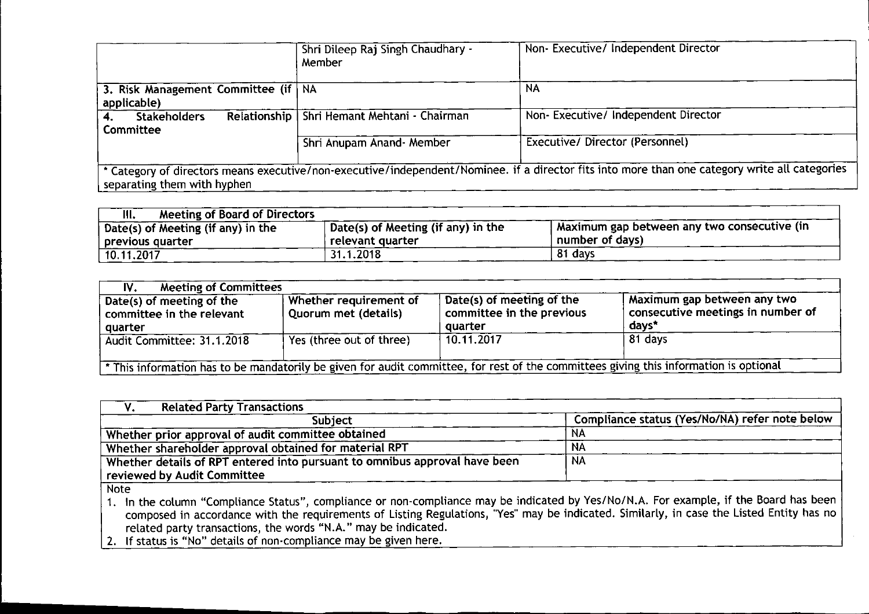|                                       | Shri Dileep Raj Singh Chaudhary -<br>Member   | Non- Executive/ Independent Director                                                                                                           |
|---------------------------------------|-----------------------------------------------|------------------------------------------------------------------------------------------------------------------------------------------------|
| 3. Risk Management Committee (if   NA |                                               | <b>NA</b>                                                                                                                                      |
| applicable)                           |                                               |                                                                                                                                                |
| <b>Stakeholders</b>                   | Relationship   Shri Hemant Mehtani - Chairman | Non-Executive/Independent Director                                                                                                             |
| <b>Committee</b>                      |                                               |                                                                                                                                                |
|                                       | Shri Anupam Anand- Member                     | Executive/Director (Personnel)                                                                                                                 |
|                                       |                                               |                                                                                                                                                |
| separating them with hyphen           |                                               | * Category of directors means executive/non-executive/independent/Nominee. if a director fits into more than one category write all categories |

| <b>Meeting of Board of Directors</b><br>III. |                                    |                                             |
|----------------------------------------------|------------------------------------|---------------------------------------------|
| Date(s) of Meeting (if any) in the           | Date(s) of Meeting (if any) in the | Maximum gap between any two consecutive (in |
| previous quarter                             | relevant quarter                   | number of days)                             |
| 10.11.2017                                   | 31.1.2018                          | 81 days                                     |

| <b>Meeting of Committees</b><br>IV.                                                                                                   |                                                |                                                                   |                                                                                        |  |  |
|---------------------------------------------------------------------------------------------------------------------------------------|------------------------------------------------|-------------------------------------------------------------------|----------------------------------------------------------------------------------------|--|--|
| Date(s) of meeting of the<br>committee in the relevant<br>quarter                                                                     | Whether requirement of<br>Quorum met (details) | Date(s) of meeting of the<br>committee in the previous<br>quarter | Maximum gap between any two<br>$^{\dagger}$ consecutive meetings in number of<br>days* |  |  |
| Audit Committee: 31.1.2018                                                                                                            | Yes (three out of three)                       | 10.11.2017                                                        | 81 days                                                                                |  |  |
| * This information has to be mandatorily be given for audit committee, for rest of the committees giving this information is optional |                                                |                                                                   |                                                                                        |  |  |

| <b>Related Party Transactions</b>                                          |                                                |
|----------------------------------------------------------------------------|------------------------------------------------|
| <b>Subject</b>                                                             | Compliance status (Yes/No/NA) refer note below |
| Whether prior approval of audit committee obtained                         | NA                                             |
| Whether shareholder approval obtained for material RPT                     | <b>NA</b>                                      |
| Whether details of RPT entered into pursuant to omnibus approval have been | <b>NA</b>                                      |
| reviewed by Audit Committee                                                |                                                |
| Note                                                                       |                                                |

compliance or non-compliance may be indicated by Yes/No/N.A. For example, if the Board has been quirements of Listing Regulations, "Yes" may be indicated. Similarly, in case the Listed Entity has no "N.A." may be indicated. 1. In the column "Compliance Status", composed in accordance with the re related party transactions, the word!

iance may be given here. 2. If status is "No" details of non.compl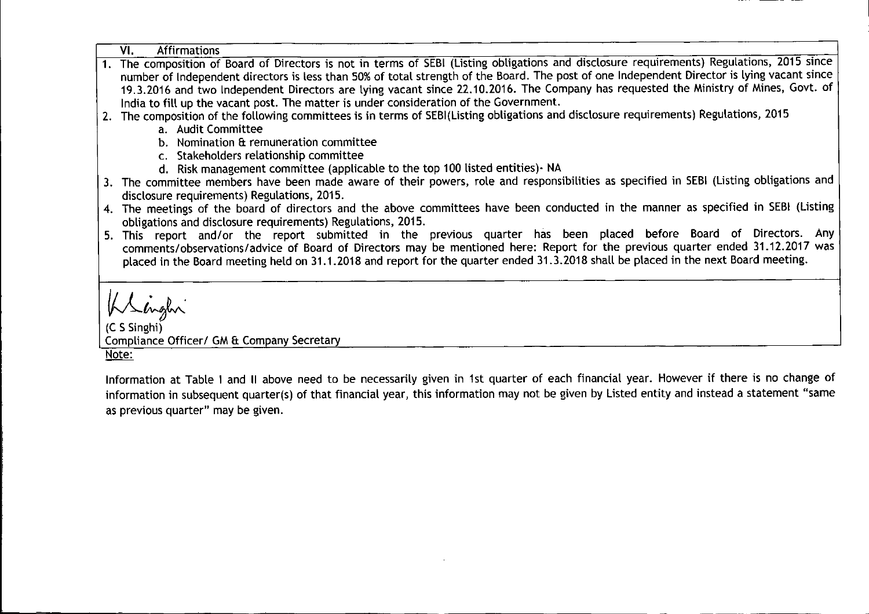| VI.<br><b>Affirmations</b>                                                                                                                  |
|---------------------------------------------------------------------------------------------------------------------------------------------|
| 1. The composition of Board of Directors is not in terms of SEBI (Listing obligations and disclosure requirements) Regulations, 2015 since  |
| number of Independent directors is less than 50% of total strength of the Board. The post of one Independent Director is lying vacant since |
| 19.3.2016 and two Independent Directors are lying vacant since 22.10.2016. The Company has requested the Ministry of Mines, Govt. of        |
| India to fill up the vacant post. The matter is under consideration of the Government.                                                      |
| 2. The composition of the following committees is in terms of SEBI(Listing obligations and disclosure requirements) Regulations, 2015       |
| a. Audit Committee                                                                                                                          |
| b. Nomination & remuneration committee                                                                                                      |
| c. Stakeholders relationship committee                                                                                                      |
| d. Risk management committee (applicable to the top 100 listed entities) NA                                                                 |
| 3. The committee members have been made aware of their powers, role and responsibilities as specified in SEBI (Listing obligations and      |
| disclosure requirements) Regulations, 2015.                                                                                                 |
| 4. The meetings of the board of directors and the above committees have been conducted in the manner as specified in SEBI (Listing          |
| obligations and disclosure requirements) Regulations, 2015.                                                                                 |
| 5. This report and/or the report submitted in the previous quarter has been placed before Board of Directors. Any                           |
| comments/observations/advice of Board of Directors may be mentioned here: Report for the previous quarter ended 31.12.2017 was              |
| placed in the Board meeting held on 31.1.2018 and report for the quarter ended 31.3.2018 shall be placed in the next Board meeting.         |
|                                                                                                                                             |
|                                                                                                                                             |
| Klinghi                                                                                                                                     |
|                                                                                                                                             |
| Compliance Officer/ GM & Company Secretary                                                                                                  |
|                                                                                                                                             |
| <u>Note:</u>                                                                                                                                |
| Information at Table I and II above need to be necessarily given in 1st quarter of each financial year. However if there is no change of    |

Information at Table I and II above need to be necessarily given in 1st quarter of each financial year. However if there is no change of information in subsequent quarter(s) of that financial year, this information may not be given by Listed entity and instead a statement "same as previous quarter" may be given.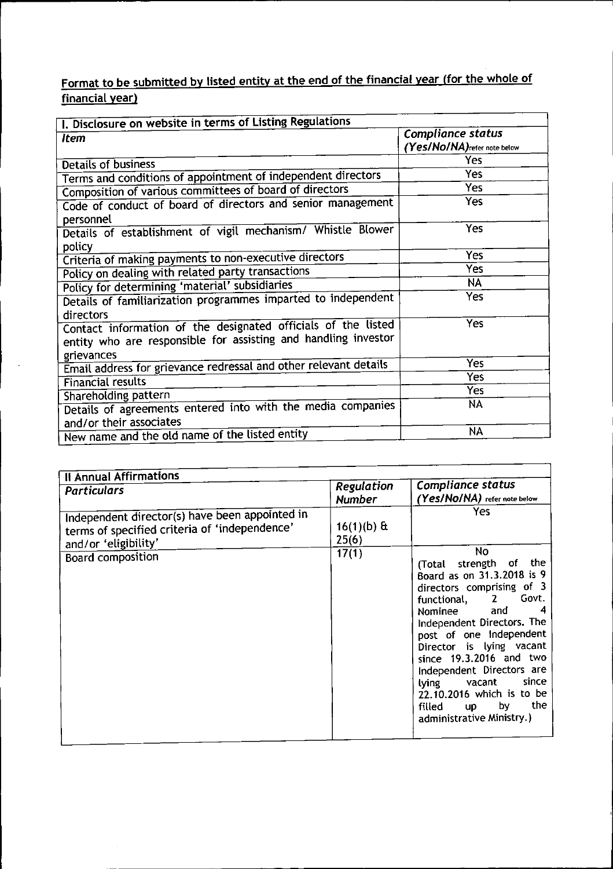## Format to be submitted by listed entity at the end of the financial year (for the whole of financial year

| I. Disclosure on website in terms of Listing Regulations                                                                                     |                                                          |  |  |  |
|----------------------------------------------------------------------------------------------------------------------------------------------|----------------------------------------------------------|--|--|--|
| <b>Item</b>                                                                                                                                  | <b>Compliance status</b><br>(Yes/No/NA) refer note below |  |  |  |
| Details of business                                                                                                                          | Yes                                                      |  |  |  |
| Terms and conditions of appointment of independent directors                                                                                 | Yes                                                      |  |  |  |
| Composition of various committees of board of directors                                                                                      | Yes                                                      |  |  |  |
| Code of conduct of board of directors and senior management<br>personnel                                                                     | <b>Yes</b>                                               |  |  |  |
| Details of establishment of vigil mechanism/ Whistle Blower<br>policy                                                                        | Yes                                                      |  |  |  |
| Criteria of making payments to non-executive directors                                                                                       | Yes                                                      |  |  |  |
| Policy on dealing with related party transactions                                                                                            | Yes                                                      |  |  |  |
| Policy for determining 'material' subsidiaries                                                                                               | <b>NA</b>                                                |  |  |  |
| Details of familiarization programmes imparted to independent                                                                                | Yes                                                      |  |  |  |
| directors<br>Contact information of the designated officials of the listed<br>entity who are responsible for assisting and handling investor | Yes                                                      |  |  |  |
| grievances                                                                                                                                   | Yes                                                      |  |  |  |
| Email address for grievance redressal and other relevant details                                                                             | Yes                                                      |  |  |  |
| <b>Financial results</b>                                                                                                                     | Yes                                                      |  |  |  |
| Shareholding pattern<br>Details of agreements entered into with the media companies<br>and/or their associates                               | <b>NA</b>                                                |  |  |  |
| New name and the old name of the listed entity                                                                                               | <b>NA</b>                                                |  |  |  |

| <b>Il Annual Affirmations</b>                                                                                           |                             |                                                                                                                                                                                                                                                                                                                                                                                                          |
|-------------------------------------------------------------------------------------------------------------------------|-----------------------------|----------------------------------------------------------------------------------------------------------------------------------------------------------------------------------------------------------------------------------------------------------------------------------------------------------------------------------------------------------------------------------------------------------|
| <b>Particulars</b>                                                                                                      | Regulation<br><b>Number</b> | Compliance status<br>(Yes/No/NA) refer note below                                                                                                                                                                                                                                                                                                                                                        |
| Independent director(s) have been appointed in<br>terms of specified criteria of 'independence'<br>and/or 'eligibility' | $16(1)(b)$ &<br>25(6)       | Yes                                                                                                                                                                                                                                                                                                                                                                                                      |
| Board composition                                                                                                       | 17(1)                       | No.<br>(Total strength of the<br>Board as on 31.3.2018 is 9<br>directors comprising of 3<br>Govt.<br>functional, 2<br>Nominee and<br>4<br>Independent Directors. The<br>post of one Independent<br>Director is lying vacant<br>since 19.3.2016 and two<br>Independent Directors are<br>since<br>lying vacant<br>22.10.2016 which is to be<br>the<br>by the set<br>filled up<br>administrative Ministry.) |
|                                                                                                                         |                             |                                                                                                                                                                                                                                                                                                                                                                                                          |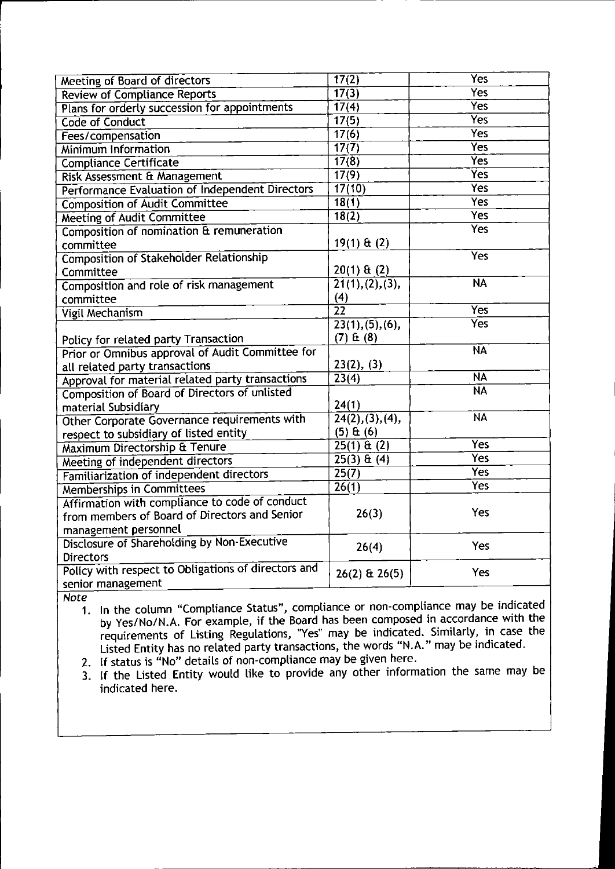| <b>Meeting of Board of directors</b>                | 17(2)                          | <b>Yes</b>               |
|-----------------------------------------------------|--------------------------------|--------------------------|
| <b>Review of Compliance Reports</b>                 | $\overline{17(3)}$             | Yes                      |
| Plans for orderly succession for appointments       | 17(4)                          | $\overline{Yes}$         |
| Code of Conduct                                     | 17(5)                          | <b>Yes</b>               |
| Fees/compensation                                   | 17(6)                          | <b>Yes</b>               |
| <b>Minimum Information</b>                          | $\overline{17(7)}$             | <b>Yes</b>               |
| <b>Compliance Certificate</b>                       | 17(8)                          | $\overline{\text{Yes}}$  |
| Risk Assessment & Management                        | 17(9)                          | <b>Yes</b>               |
| Performance Evaluation of Independent Directors     | 17(10)                         | <b>Yes</b>               |
| <b>Composition of Audit Committee</b>               | $\overline{18(1)}$             | <b>Yes</b>               |
| <b>Meeting of Audit Committee</b>                   | 18(2)                          | <b>Yes</b>               |
| Composition of nomination & remuneration            |                                | <b>Yes</b>               |
| committee                                           | $19(1) \& (2)$                 |                          |
| <b>Composition of Stakeholder Relationship</b>      |                                | <b>Yes</b>               |
| Committee                                           | $20(1)$ & (2)                  |                          |
| Composition and role of risk management             | $\overline{21(1),(2),(3)},$    | <b>NA</b>                |
| committee                                           | (4)                            |                          |
| <b>Vigil Mechanism</b>                              | $\overline{22}$                | <b>Yes</b>               |
|                                                     | $\overline{23(1), (5), (6)}$   | $\overline{\text{Yes}}$  |
| Policy for related party Transaction                | $(7)$ $E(8)$                   |                          |
| Prior or Omnibus approval of Audit Committee for    |                                | $\overline{\mathsf{NA}}$ |
| all related party transactions                      | 23(2), (3)                     |                          |
| Approval for material related party transactions    | 23(4)                          | $\overline{\mathsf{NA}}$ |
| Composition of Board of Directors of unlisted       |                                | $\overline{\textsf{NA}}$ |
| material Subsidiary                                 | 24(1)                          |                          |
| Other Corporate Governance requirements with        | $\overline{24(2), (3), (4)}$ , | <b>NA</b>                |
| respect to subsidiary of listed entity              | $(5)$ $E(6)$                   |                          |
| Maximum Directorship & Tenure                       | $25(1)$ & (2)                  | <b>Yes</b>               |
| Meeting of independent directors                    | $25(3) \,\mathrm{ft}(4)$       | <b>Yes</b>               |
| Familiarization of independent directors            | 25(7)                          | <b>Yes</b>               |
| <b>Memberships in Committees</b>                    | $\overline{26(1)}$             | <b>Yes</b>               |
| Affirmation with compliance to code of conduct      |                                |                          |
| from members of Board of Directors and Senior       | 26(3)                          | Yes                      |
| management personnel                                |                                |                          |
| Disclosure of Shareholding by Non-Executive         | 26(4)                          | Yes                      |
| <b>Directors</b>                                    |                                |                          |
| Policy with respect to Obligations of directors and | $26(2)$ & $26(5)$              | <b>Yes</b>               |
| senior management                                   |                                |                          |

*Note*

1. **In** the column "Compliance Status", compliance or non-compliance may be indicated by Yes/No/N.A. For example, if the Board has been composed in accordance with the requirements of Listing Regulations, ''Yes'' may be indicated. Similarly, in case the Listed Entity has no related party transactions, the words "N.A." may be indicated.

2. If status is "No" details of non-compliance may be given here.

3. If the Listed Entity would like to provide any other information the same may be indicated here.